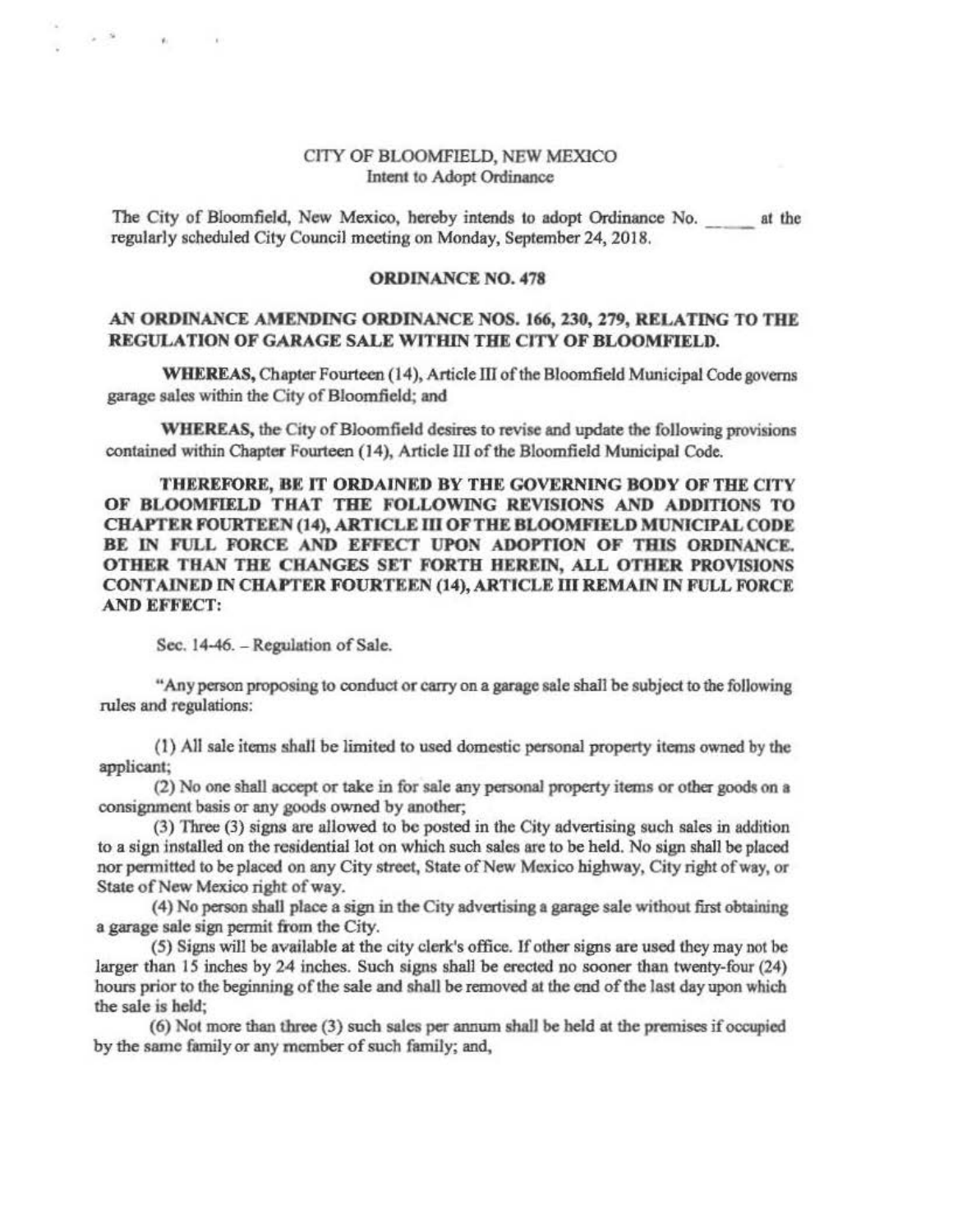## CITY OF BLOOMFIELD, NEW MEXICO Intent to Adopt Ordinance

The City of Bloomfield, New Mexico, hereby intends to adopt Ordinance No. at the regularly scheduled City Council meeting on Monday, September 24, 2018.

## ORDINANCE NO. 478

## AN ORDINANCE AMENDING ORDINANCE NOS. 166, 230, 279, RELATING TO THE REGULATION OF GARAGE SALE WITHIN THE CJTY OF BLOOMFIELD.

WHEREAS, Chapter Fourteen (14), Article III of the Bloomfield Municipal Code governs garage sales within the City of Bloomfield; and

WHEREAS, the City of Bloomfield desires to revise and update the following provisions contained within Chapter Fourteen (14), Article ID of the Bloomfield Municipal Code.

THEREFORE, BE IT ORDAINED BY THE GOVERNING BODY OF THE CITY OF BLOOMFIELD THAT THE FOLLOWING REVISIONS AND ADDITIONS TO CHAPTER FOURTEEN (14), ARTICLE III OF THE BLOOMFIELD MUNICIPAL CODE BE IN FULL FORCE AND EFFECT UPON ADOPTION OF THIS ORDINANCE. OTHER THAN THE CHANGES SET FORTH HEREIN, ALL OTHER PROVISIONS CONTAINED IN CHAPTER FOURTEEN (14), ARTICLE III REMAIN IN FULL FORCE AND EFFECT:

Sec. 14-46. - Regulation of Sale.

 $\mathcal{R}_1$ 

"Any person proposing to conduct or carry on a garage sale shall be subject to the following rules and regulations:

(l) All sale items shail be limited to used domestic personal property items owned by the applicant;

(2) No one shall accept or take in for sale any personal property items or other goods on a consignment basis or any goods owned by another;

(3) Three (3) signs are allowed to be posted in the City advertising such sales in addition to a sign installed on the residential lot on which such sales arc to be held. No sign shall be placed nor permitted to be placed on any City street, State of New Mexico highway, City right of way, or State of New Mexico right of way.

(4) No person shall place a sign in the City advertising a garage sale without first obtaining a garage sale sign pennit from the City.

(5) Signs will be available at the city clerk's office. If other signs are used they may not be larger than IS inches by 24 inches. Such signs shall be erected no sooner than twenty-four (24) hours prior to the beginning of the sale and shall be removed at the end of the last day upon which the sale is held;

(6) Nol more than three (3) such sales per annum shall be held at the premises if occupied by the same family or any member of such family; and,